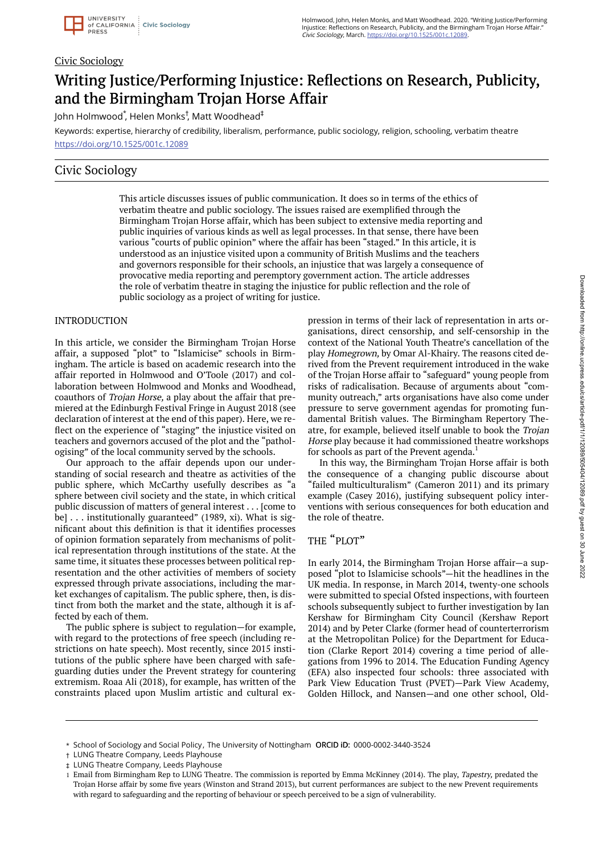#### Civic Sociology

# Writing Justice/Performing Injustice: Reflections on Research, Publicity, and the Birmingham Trojan Horse Affair

John Holmwood ٌ, Helen Monks<sup>†</sup>, Matt Woodhead $^\ddag$ 

Keywords: expertise, hierarchy of credibility, liberalism, performance, public sociology, religion, schooling, verbatim theatre https://doi.org/10.1525/001c.12089

### Civic Sociology

This article discusses issues of public communication. It does so in terms of the ethics of verbatim theatre and public sociology. The issues raised are exemplified through the Birmingham Trojan Horse affair, which has been subject to extensive media reporting and public inquiries of various kinds as well as legal processes. In that sense, there have been various "courts of public opinion" where the affair has been "staged." In this article, it is understood as an injustice visited upon a community of British Muslims and the teachers and governors responsible for their schools, an injustice that was largely a consequence of provocative media reporting and peremptory government action. The article addresses the role of verbatim theatre in staging the injustice for public reflection and the role of public sociology as a project of writing for justice.

#### INTRODUCTION

In this article, we consider the Birmingham Trojan Horse affair, a supposed "plot" to "Islamicise" schools in Birmingham. The article is based on academic research into the affair reported in Holmwood and O'Toole (2017) and collaboration between Holmwood and Monks and Woodhead, coauthors of Trojan Horse, a play about the affair that premiered at the Edinburgh Festival Fringe in August 2018 (see declaration of interest at the end of this paper). Here, we reflect on the experience of "staging" the injustice visited on teachers and governors accused of the plot and the "pathologising" of the local community served by the schools.

Our approach to the affair depends upon our understanding of social research and theatre as activities of the public sphere, which McCarthy usefully describes as "a sphere between civil society and the state, in which critical public discussion of matters of general interest . . . [come to be] . . . institutionally guaranteed" (1989, xi). What is significant about this definition is that it identifies processes of opinion formation separately from mechanisms of political representation through institutions of the state. At the same time, it situates these processes between political representation and the other activities of members of society expressed through private associations, including the market exchanges of capitalism. The public sphere, then, is distinct from both the market and the state, although it is affected by each of them.

The public sphere is subject to regulation—for example, with regard to the protections of free speech (including restrictions on hate speech). Most recently, since 2015 institutions of the public sphere have been charged with safeguarding duties under the Prevent strategy for countering extremism. Roaa Ali (2018), for example, has written of the constraints placed upon Muslim artistic and cultural expression in terms of their lack of representation in arts organisations, direct censorship, and self-censorship in the context of the National Youth Theatre's cancellation of the play Homegrown, by Omar Al-Khairy. The reasons cited derived from the Prevent requirement introduced in the wake of the Trojan Horse affair to "safeguard" young people from risks of radicalisation. Because of arguments about "community outreach," arts organisations have also come under pressure to serve government agendas for promoting fundamental British values. The Birmingham Repertory Theatre, for example, believed itself unable to book the Trojan Horse play because it had commissioned theatre workshops for schools as part of the Prevent agenda.<sup>1</sup>

In this way, the Birmingham Trojan Horse affair is both the consequence of a changing public discourse about "failed multiculturalism" (Cameron 2011) and its primary example (Casey 2016), justifying subsequent policy interventions with serious consequences for both education and the role of theatre.

#### THE "PLOT"

In early 2014, the Birmingham Trojan Horse affair—a supposed "plot to Islamicise schools"—hit the headlines in the UK media. In response, in March 2014, twenty-one schools were submitted to special Ofsted inspections, with fourteen schools subsequently subject to further investigation by Ian Kershaw for Birmingham City Council (Kershaw Report 2014) and by Peter Clarke (former head of counterterrorism at the Metropolitan Police) for the Department for Education (Clarke Report 2014) covering a time period of allegations from 1996 to 2014. The Education Funding Agency (EFA) also inspected four schools: three associated with Park View Education Trust (PVET)—Park View Academy, Golden Hillock, and Nansen—and one other school, Old-

<sup>\*</sup> School of Sociology and Social Policy, The University of Nottingham ORCID iD: 0000-0002-3440-3524

LUNG Theatre Company, Leeds Playhouse †

LUNG Theatre Company, Leeds Playhouse ‡

<sup>1</sup> Email from Birmingham Rep to LUNG Theatre. The commission is reported by Emma McKinney (2014). The play, Tapestry, predated the Trojan Horse affair by some five years (Winston and Strand 2013), but current performances are subject to the new Prevent requirements with regard to safeguarding and the reporting of behaviour or speech perceived to be a sign of vulnerability.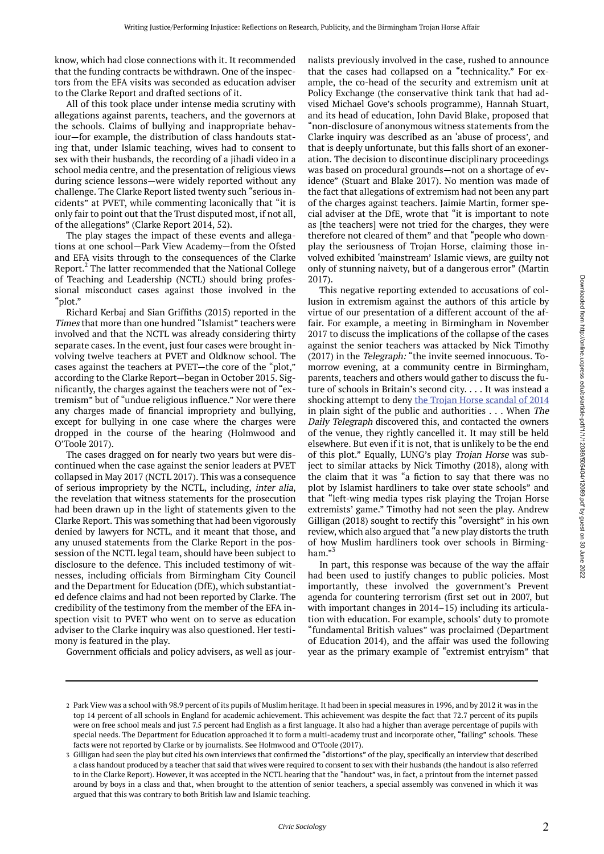know, which had close connections with it. It recommended that the funding contracts be withdrawn. One of the inspectors from the EFA visits was seconded as education adviser to the Clarke Report and drafted sections of it.

All of this took place under intense media scrutiny with allegations against parents, teachers, and the governors at the schools. Claims of bullying and inappropriate behaviour—for example, the distribution of class handouts stating that, under Islamic teaching, wives had to consent to sex with their husbands, the recording of a jihadi video in a school media centre, and the presentation of religious views during science lessons—were widely reported without any challenge. The Clarke Report listed twenty such "serious incidents" at PVET, while commenting laconically that "it is only fair to point out that the Trust disputed most, if not all, of the allegations" (Clarke Report 2014, 52).

The play stages the impact of these events and allegations at one school—Park View Academy—from the Ofsted and EFA visits through to the consequences of the Clarke Report.<sup>2</sup> The latter recommended that the National College of Teaching and Leadership (NCTL) should bring professional misconduct cases against those involved in the "plot."

Richard Kerbaj and Sian Griffiths (2015) reported in the Times that more than one hundred "Islamist" teachers were involved and that the NCTL was already considering thirty separate cases. In the event, just four cases were brought involving twelve teachers at PVET and Oldknow school. The cases against the teachers at PVET—the core of the "plot," according to the Clarke Report—began in October 2015. Significantly, the charges against the teachers were not of "extremism" but of "undue religious influence." Nor were there any charges made of financial impropriety and bullying, except for bullying in one case where the charges were dropped in the course of the hearing (Holmwood and O'Toole 2017).

The cases dragged on for nearly two years but were discontinued when the case against the senior leaders at PVET collapsed in May 2017 (NCTL 2017). This was a consequence of serious impropriety by the NCTL, including, inter alia, the revelation that witness statements for the prosecution had been drawn up in the light of statements given to the Clarke Report. This was something that had been vigorously denied by lawyers for NCTL, and it meant that those, and any unused statements from the Clarke Report in the possession of the NCTL legal team, should have been subject to disclosure to the defence. This included testimony of witnesses, including officials from Birmingham City Council and the Department for Education (DfE), which substantiated defence claims and had not been reported by Clarke. The credibility of the testimony from the member of the EFA inspection visit to PVET who went on to serve as education adviser to the Clarke inquiry was also questioned. Her testimony is featured in the play.

Government officials and policy advisers, as well as jour-

nalists previously involved in the case, rushed to announce that the cases had collapsed on a "technicality." For example, the co-head of the security and extremism unit at Policy Exchange (the conservative think tank that had advised Michael Gove's schools programme), Hannah Stuart, and its head of education, John David Blake, proposed that "non-disclosure of anonymous witness statements from the Clarke inquiry was described as an 'abuse of process', and that is deeply unfortunate, but this falls short of an exoneration. The decision to discontinue disciplinary proceedings was based on procedural grounds—not on a shortage of evidence" (Stuart and Blake 2017). No mention was made of the fact that allegations of extremism had not been any part of the charges against teachers. Jaimie Martin, former special adviser at the DfE, wrote that "it is important to note as [the teachers] were not tried for the charges, they were therefore not cleared of them" and that "people who downplay the seriousness of Trojan Horse, claiming those involved exhibited 'mainstream' Islamic views, are guilty not only of stunning naivety, but of a dangerous error" (Martin 2017).

This negative reporting extended to accusations of collusion in extremism against the authors of this article by virtue of our presentation of a different account of the affair. For example, a meeting in Birmingham in November 2017 to discuss the implications of the collapse of the cases against the senior teachers was attacked by Nick Timothy (2017) in the Telegraph: "the invite seemed innocuous. Tomorrow evening, at a community centre in Birmingham, parents, teachers and others would gather to discuss the future of schools in Britain's second city. . . . It was instead a shocking attempt to deny the Trojan Horse scandal of 2014 in plain sight of the public and authorities . . . When The Daily Telegraph discovered this, and contacted the owners of the venue, they rightly cancelled it. It may still be held elsewhere. But even if it is not, that is unlikely to be the end of this plot." Equally, LUNG's play Trojan Horse was subject to similar attacks by Nick Timothy (2018), along with the claim that it was "a fiction to say that there was no plot by Islamist hardliners to take over state schools" and that "left-wing media types risk playing the Trojan Horse extremists' game." Timothy had not seen the play. Andrew Gilligan (2018) sought to rectify this "oversight" in his own review, which also argued that "a new play distorts the truth of how Muslim hardliners took over schools in Birmingham."<sup>3</sup>

In part, this response was because of the way the affair had been used to justify changes to public policies. Most importantly, these involved the government's Prevent agenda for countering terrorism (first set out in 2007, but with important changes in 2014–15) including its articulation with education. For example, schools' duty to promote "fundamental British values" was proclaimed (Department of Education 2014), and the affair was used the following year as the primary example of "extremist entryism" that

Park View was a school with 98.9 percent of its pupils of Muslim heritage. It had been in special measures in 1996, and by 2012 it was in the 2 top 14 percent of all schools in England for academic achievement. This achievement was despite the fact that 72.7 percent of its pupils were on free school meals and just 7.5 percent had English as a first language. It also had a higher than average percentage of pupils with special needs. The Department for Education approached it to form a multi-academy trust and incorporate other, "failing" schools. These facts were not reported by Clarke or by journalists. See Holmwood and O'Toole (2017).

<sup>3</sup> Gilligan had seen the play but cited his own interviews that confirmed the "distortions" of the play, specifically an interview that described a class handout produced by a teacher that said that wives were required to consent to sex with their husbands (the handout is also referred to in the Clarke Report). However, it was accepted in the NCTL hearing that the "handout" was, in fact, a printout from the internet passed around by boys in a class and that, when brought to the attention of senior teachers, a special assembly was convened in which it was argued that this was contrary to both British law and Islamic teaching.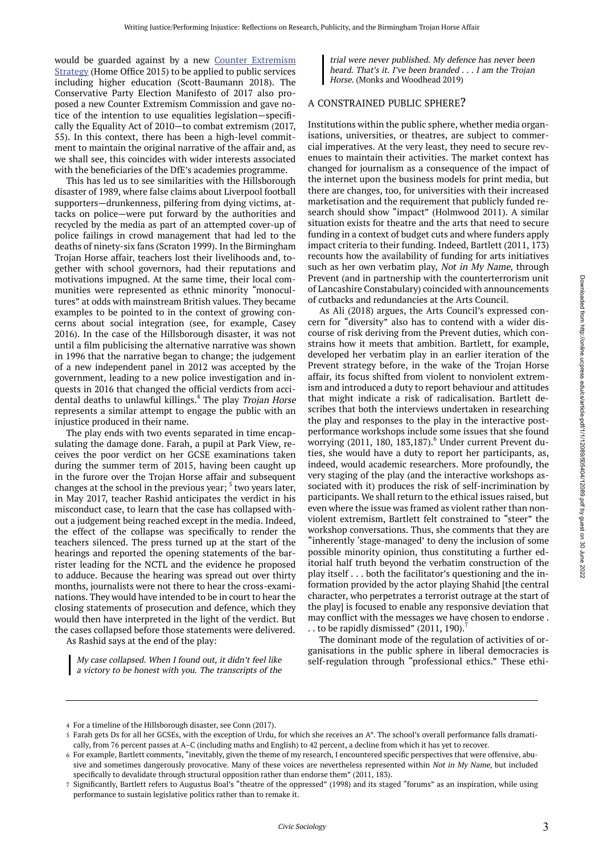would be guarded against by a new Counter Extremism Strategy (Home Office 2015) to be applied to public services including higher education (Scott-Baumann 2018). The Conservative Party Election Manifesto of 2017 also proposed a new Counter Extremism Commission and gave notice of the intention to use equalities legislation—specifically the Equality Act of 2010—to combat extremism (2017, 55). In this context, there has been a high-level commitment to maintain the original narrative of the affair and, as we shall see, this coincides with wider interests associated with the beneficiaries of the DfE's academies programme.

This has led us to see similarities with the Hillsborough disaster of 1989, where false claims about Liverpool football supporters—drunkenness, pilfering from dying victims, attacks on police—were put forward by the authorities and recycled by the media as part of an attempted cover-up of police failings in crowd management that had led to the deaths of ninety-six fans (Scraton 1999). In the Birmingham Trojan Horse affair, teachers lost their livelihoods and, together with school governors, had their reputations and motivations impugned. At the same time, their local communities were represented as ethnic minority "monocultures" at odds with mainstream British values. They became examples to be pointed to in the context of growing concerns about social integration (see, for example, Casey 2016). In the case of the Hillsborough disaster, it was not until a film publicising the alternative narrative was shown in 1996 that the narrative began to change; the judgement of a new independent panel in 2012 was accepted by the government, leading to a new police investigation and inquests in 2016 that changed the official verdicts from accidental deaths to unlawful killings.<sup>4</sup> The play Trojan Horse represents a similar attempt to engage the public with an injustice produced in their name.

The play ends with two events separated in time encapsulating the damage done. Farah, a pupil at Park View, receives the poor verdict on her GCSE examinations taken during the summer term of 2015, having been caught up in the furore over the Trojan Horse affair and subsequent changes at the school in the previous year; <sup>5</sup> two years later, in May 2017, teacher Rashid anticipates the verdict in his misconduct case, to learn that the case has collapsed without a judgement being reached except in the media. Indeed, the effect of the collapse was specifically to render the teachers silenced. The press turned up at the start of the hearings and reported the opening statements of the barrister leading for the NCTL and the evidence he proposed to adduce. Because the hearing was spread out over thirty months, journalists were not there to hear the cross-examinations. They would have intended to be in court to hear the closing statements of prosecution and defence, which they would then have interpreted in the light of the verdict. But the cases collapsed before those statements were delivered. As Rashid says at the end of the play:

My case collapsed. When <sup>I</sup> found out, it didn't feel like <sup>a</sup> victory to be honest with you. The transcripts of the

trial were never published. My defence has never been heard. That's it. I've been branded . . . I am the Trojan Horse. (Monks and Woodhead 2019)

#### A CONSTRAINED PUBLIC SPHERE?

Institutions within the public sphere, whether media organisations, universities, or theatres, are subject to commercial imperatives. At the very least, they need to secure revenues to maintain their activities. The market context has changed for journalism as a consequence of the impact of the internet upon the business models for print media, but there are changes, too, for universities with their increased marketisation and the requirement that publicly funded research should show "impact" (Holmwood 2011). A similar situation exists for theatre and the arts that need to secure funding in a context of budget cuts and where funders apply impact criteria to their funding. Indeed, Bartlett (2011, 173) recounts how the availability of funding for arts initiatives such as her own verbatim play, Not in My Name, through Prevent (and in partnership with the counterterrorism unit of Lancashire Constabulary) coincided with announcements of cutbacks and redundancies at the Arts Council.

As Ali (2018) argues, the Arts Council's expressed concern for "diversity" also has to contend with a wider discourse of risk deriving from the Prevent duties, which constrains how it meets that ambition. Bartlett, for example, developed her verbatim play in an earlier iteration of the Prevent strategy before, in the wake of the Trojan Horse affair, its focus shifted from violent to nonviolent extremism and introduced a duty to report behaviour and attitudes that might indicate a risk of radicalisation. Bartlett describes that both the interviews undertaken in researching the play and responses to the play in the interactive postperformance workshops include some issues that she found worrying (2011, 180, 183,187).<sup>6</sup> Under current Prevent duties, she would have a duty to report her participants, as, indeed, would academic researchers. More profoundly, the very staging of the play (and the interactive workshops associated with it) produces the risk of self-incrimination by participants. We shall return to the ethical issues raised, but even where the issue was framed as violent rather than nonviolent extremism, Bartlett felt constrained to "steer" the workshop conversations. Thus, she comments that they are "inherently 'stage-managed' to deny the inclusion of some possible minority opinion, thus constituting a further editorial half truth beyond the verbatim construction of the play itself . . . both the facilitator's questioning and the information provided by the actor playing Shahid [the central character, who perpetrates a terrorist outrage at the start of the play] is focused to enable any responsive deviation that may conflict with the messages we have chosen to endorse . . . to be rapidly dismissed"  $(2011, 190)$ .

The dominant mode of the regulation of activities of organisations in the public sphere in liberal democracies is self-regulation through "professional ethics." These ethi-

For a timeline of the Hillsborough disaster, see Conn (2017). 4

Farah gets Ds for all her GCSEs, with the exception of Urdu, for which she receives an A\*. The school's overall performance falls dramati-5 cally, from 76 percent passes at A–C (including maths and English) to 42 percent, a decline from which it has yet to recover.

 $\epsilon$  For example, Bartlett comments, "inevitably, given the theme of my research, I encountered specific perspectives that were offensive, abusive and sometimes dangerously provocative. Many of these voices are nevertheless represented within Not in My Name, but included specifically to devalidate through structural opposition rather than endorse them" (2011, 183).

<sup>7</sup> Significantly, Bartlett refers to Augustus Boal's "theatre of the oppressed" (1998) and its staged "forums" as an inspiration, while using performance to sustain legislative politics rather than to remake it.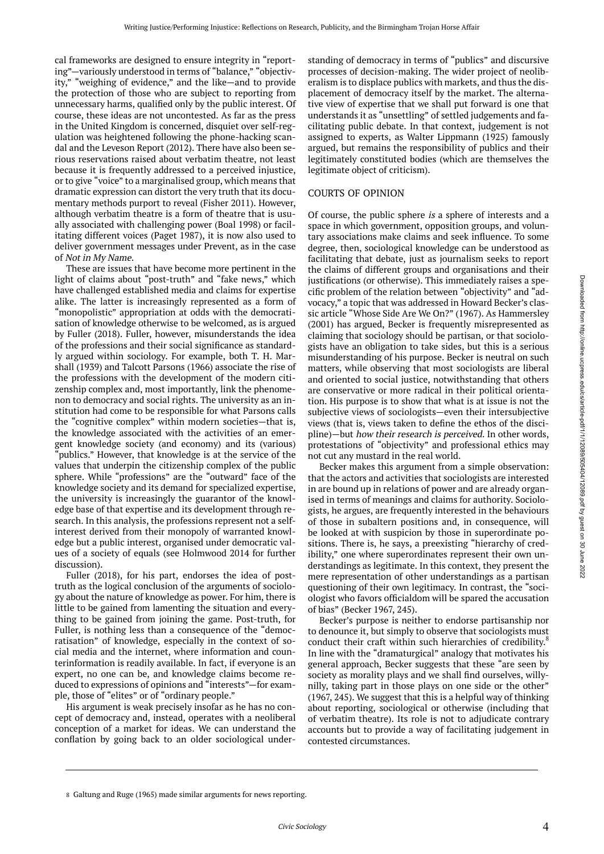cal frameworks are designed to ensure integrity in "reporting"—variously understood in terms of "balance," "objectivity," "weighing of evidence," and the like—and to provide the protection of those who are subject to reporting from unnecessary harms, qualified only by the public interest. Of course, these ideas are not uncontested. As far as the press in the United Kingdom is concerned, disquiet over self-regulation was heightened following the phone-hacking scandal and the Leveson Report (2012). There have also been serious reservations raised about verbatim theatre, not least because it is frequently addressed to a perceived injustice, or to give "voice" to a marginalised group, which means that dramatic expression can distort the very truth that its documentary methods purport to reveal (Fisher 2011). However, although verbatim theatre is a form of theatre that is usually associated with challenging power (Boal 1998) or facilitating different voices (Paget 1987), it is now also used to deliver government messages under Prevent, as in the case of Not in My Name.

These are issues that have become more pertinent in the light of claims about "post-truth" and "fake news," which have challenged established media and claims for expertise alike. The latter is increasingly represented as a form of "monopolistic" appropriation at odds with the democratisation of knowledge otherwise to be welcomed, as is argued by Fuller (2018). Fuller, however, misunderstands the idea of the professions and their social significance as standardly argued within sociology. For example, both T. H. Marshall (1939) and Talcott Parsons (1966) associate the rise of the professions with the development of the modern citizenship complex and, most importantly, link the phenomenon to democracy and social rights. The university as an institution had come to be responsible for what Parsons calls the "cognitive complex" within modern societies—that is, the knowledge associated with the activities of an emergent knowledge society (and economy) and its (various) "publics." However, that knowledge is at the service of the values that underpin the citizenship complex of the public sphere. While "professions" are the "outward" face of the knowledge society and its demand for specialized expertise, the university is increasingly the guarantor of the knowledge base of that expertise and its development through research. In this analysis, the professions represent not a selfinterest derived from their monopoly of warranted knowledge but a public interest, organised under democratic values of a society of equals (see Holmwood 2014 for further discussion).

Fuller (2018), for his part, endorses the idea of posttruth as the logical conclusion of the arguments of sociology about the nature of knowledge as power. For him, there is little to be gained from lamenting the situation and everything to be gained from joining the game. Post-truth, for Fuller, is nothing less than a consequence of the "democratisation" of knowledge, especially in the context of social media and the internet, where information and counterinformation is readily available. In fact, if everyone is an expert, no one can be, and knowledge claims become reduced to expressions of opinions and "interests"—for example, those of "elites" or of "ordinary people."

His argument is weak precisely insofar as he has no concept of democracy and, instead, operates with a neoliberal conception of a market for ideas. We can understand the conflation by going back to an older sociological under-

standing of democracy in terms of "publics" and discursive processes of decision-making. The wider project of neoliberalism is to displace publics with markets, and thus the displacement of democracy itself by the market. The alternative view of expertise that we shall put forward is one that understands it as "unsettling" of settled judgements and facilitating public debate. In that context, judgement is not assigned to experts, as Walter Lippmann (1925) famously argued, but remains the responsibility of publics and their legitimately constituted bodies (which are themselves the legitimate object of criticism).

#### COURTS OF OPINION

Of course, the public sphere is a sphere of interests and a space in which government, opposition groups, and voluntary associations make claims and seek influence. To some degree, then, sociological knowledge can be understood as facilitating that debate, just as journalism seeks to report the claims of different groups and organisations and their justifications (or otherwise). This immediately raises a specific problem of the relation between "objectivity" and "advocacy," a topic that was addressed in Howard Becker's classic article "Whose Side Are We On?" (1967). As Hammersley (2001) has argued, Becker is frequently misrepresented as claiming that sociology should be partisan, or that sociologists have an obligation to take sides, but this is a serious misunderstanding of his purpose. Becker is neutral on such matters, while observing that most sociologists are liberal and oriented to social justice, notwithstanding that others are conservative or more radical in their political orientation. His purpose is to show that what is at issue is not the subjective views of sociologists—even their intersubjective views (that is, views taken to define the ethos of the discipline)—but how their research is perceived. In other words, protestations of "objectivity" and professional ethics may not cut any mustard in the real world.

Becker makes this argument from a simple observation: that the actors and activities that sociologists are interested in are bound up in relations of power and are already organised in terms of meanings and claims for authority. Sociologists, he argues, are frequently interested in the behaviours of those in subaltern positions and, in consequence, will be looked at with suspicion by those in superordinate positions. There is, he says, a preexisting "hierarchy of credibility," one where superordinates represent their own understandings as legitimate. In this context, they present the mere representation of other understandings as a partisan questioning of their own legitimacy. In contrast, the "sociologist who favors officialdom will be spared the accusation of bias" (Becker 1967, 245).

Becker's purpose is neither to endorse partisanship nor to denounce it, but simply to observe that sociologists must conduct their craft within such hierarchies of credibility.<sup>8</sup> In line with the "dramaturgical" analogy that motivates his general approach, Becker suggests that these "are seen by society as morality plays and we shall find ourselves, willynilly, taking part in those plays on one side or the other" (1967, 245). We suggest that this is a helpful way of thinking about reporting, sociological or otherwise (including that of verbatim theatre). Its role is not to adjudicate contrary accounts but to provide a way of facilitating judgement in contested circumstances.

<sup>8</sup> Galtung and Ruge (1965) made similar arguments for news reporting.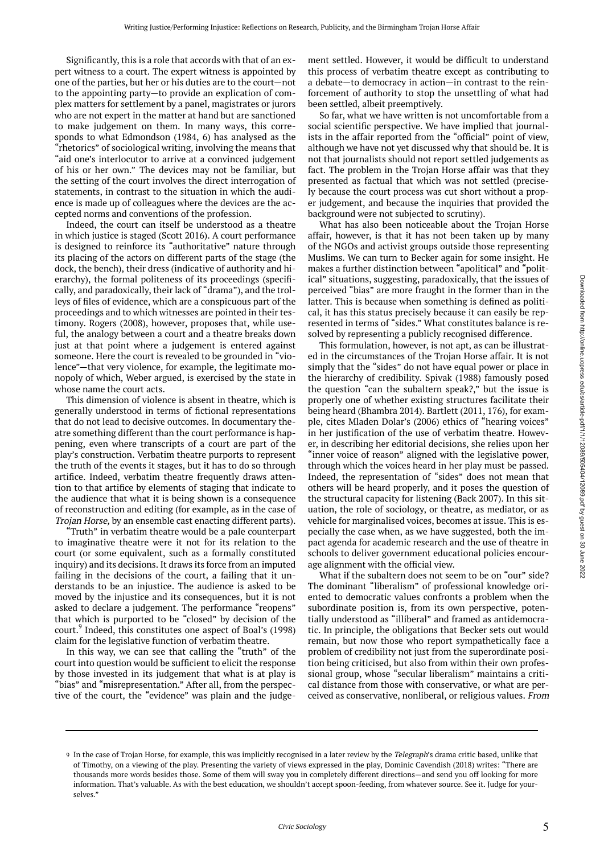Significantly, this is a role that accords with that of an expert witness to a court. The expert witness is appointed by one of the parties, but her or his duties are to the court—not to the appointing party—to provide an explication of complex matters for settlement by a panel, magistrates or jurors who are not expert in the matter at hand but are sanctioned to make judgement on them. In many ways, this corresponds to what Edmondson (1984, 6) has analysed as the "rhetorics" of sociological writing, involving the means that "aid one's interlocutor to arrive at a convinced judgement of his or her own." The devices may not be familiar, but the setting of the court involves the direct interrogation of statements, in contrast to the situation in which the audience is made up of colleagues where the devices are the accepted norms and conventions of the profession.

Indeed, the court can itself be understood as a theatre in which justice is staged (Scott 2016). A court performance is designed to reinforce its "authoritative" nature through its placing of the actors on different parts of the stage (the dock, the bench), their dress (indicative of authority and hierarchy), the formal politeness of its proceedings (specifically, and paradoxically, their lack of "drama"), and the trolleys of files of evidence, which are a conspicuous part of the proceedings and to which witnesses are pointed in their testimony. Rogers (2008), however, proposes that, while useful, the analogy between a court and a theatre breaks down just at that point where a judgement is entered against someone. Here the court is revealed to be grounded in "violence"—that very violence, for example, the legitimate monopoly of which, Weber argued, is exercised by the state in whose name the court acts.

This dimension of violence is absent in theatre, which is generally understood in terms of fictional representations that do not lead to decisive outcomes. In documentary theatre something different than the court performance is happening, even where transcripts of a court are part of the play's construction. Verbatim theatre purports to represent the truth of the events it stages, but it has to do so through artifice. Indeed, verbatim theatre frequently draws attention to that artifice by elements of staging that indicate to the audience that what it is being shown is a consequence of reconstruction and editing (for example, as in the case of Trojan Horse, by an ensemble cast enacting different parts).

"Truth" in verbatim theatre would be a pale counterpart to imaginative theatre were it not for its relation to the court (or some equivalent, such as a formally constituted inquiry) and its decisions. It draws its force from an imputed failing in the decisions of the court, a failing that it understands to be an injustice. The audience is asked to be moved by the injustice and its consequences, but it is not asked to declare a judgement. The performance "reopens" that which is purported to be "closed" by decision of the court.<sup>9</sup> Indeed, this constitutes one aspect of Boal's (1998) claim for the legislative function of verbatim theatre.

In this way, we can see that calling the "truth" of the court into question would be sufficient to elicit the response by those invested in its judgement that what is at play is "bias" and "misrepresentation." After all, from the perspective of the court, the "evidence" was plain and the judge-

ment settled. However, it would be difficult to understand this process of verbatim theatre except as contributing to a debate—to democracy in action—in contrast to the reinforcement of authority to stop the unsettling of what had been settled, albeit preemptively.

So far, what we have written is not uncomfortable from a social scientific perspective. We have implied that journalists in the affair reported from the "official" point of view, although we have not yet discussed why that should be. It is not that journalists should not report settled judgements as fact. The problem in the Trojan Horse affair was that they presented as factual that which was not settled (precisely because the court process was cut short without a proper judgement, and because the inquiries that provided the background were not subjected to scrutiny).

What has also been noticeable about the Trojan Horse affair, however, is that it has not been taken up by many of the NGOs and activist groups outside those representing Muslims. We can turn to Becker again for some insight. He makes a further distinction between "apolitical" and "political" situations, suggesting, paradoxically, that the issues of perceived "bias" are more fraught in the former than in the latter. This is because when something is defined as political, it has this status precisely because it can easily be represented in terms of "sides." What constitutes balance is resolved by representing a publicly recognised difference.

This formulation, however, is not apt, as can be illustrated in the circumstances of the Trojan Horse affair. It is not simply that the "sides" do not have equal power or place in the hierarchy of credibility. Spivak (1988) famously posed the question "can the subaltern speak?," but the issue is properly one of whether existing structures facilitate their being heard (Bhambra 2014). Bartlett (2011, 176), for example, cites Mladen Dolar's (2006) ethics of "hearing voices" in her justification of the use of verbatim theatre. However, in describing her editorial decisions, she relies upon her "inner voice of reason" aligned with the legislative power, through which the voices heard in her play must be passed. Indeed, the representation of "sides" does not mean that others will be heard properly, and it poses the question of the structural capacity for listening (Back 2007). In this situation, the role of sociology, or theatre, as mediator, or as vehicle for marginalised voices, becomes at issue. This is especially the case when, as we have suggested, both the impact agenda for academic research and the use of theatre in schools to deliver government educational policies encourage alignment with the official view.

What if the subaltern does not seem to be on "our" side? The dominant "liberalism" of professional knowledge oriented to democratic values confronts a problem when the subordinate position is, from its own perspective, potentially understood as "illiberal" and framed as antidemocratic. In principle, the obligations that Becker sets out would remain, but now those who report sympathetically face a problem of credibility not just from the superordinate position being criticised, but also from within their own professional group, whose "secular liberalism" maintains a critical distance from those with conservative, or what are perceived as conservative, nonliberal, or religious values. From

<sup>9</sup> In the case of Trojan Horse, for example, this was implicitly recognised in a later review by the *Telegraph*'s drama critic based, unlike that of Timothy, on a viewing of the play. Presenting the variety of views expressed in the play, Dominic Cavendish (2018) writes: "There are thousands more words besides those. Some of them will sway you in completely different directions—and send you off looking for more information. That's valuable. As with the best education, we shouldn't accept spoon-feeding, from whatever source. See it. Judge for yourselves."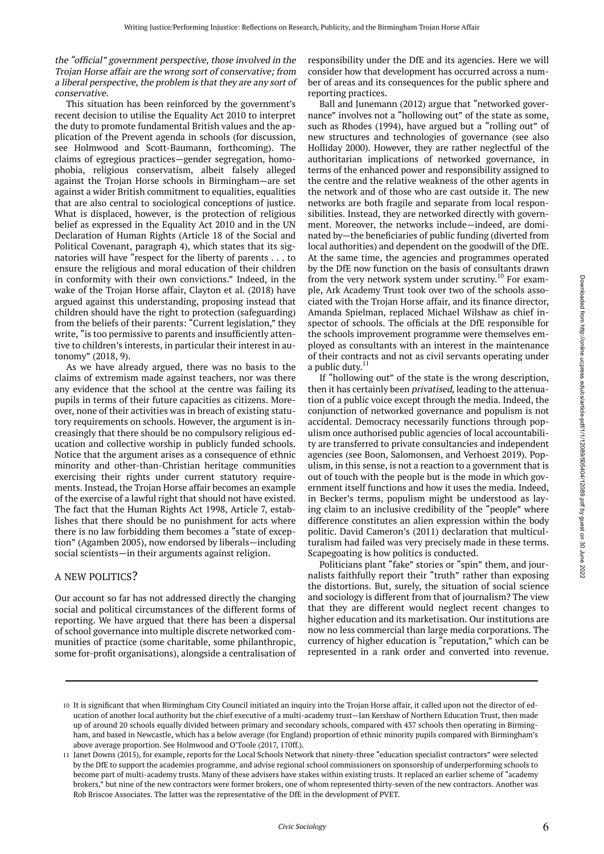#### the "official" government perspective, those involved in the Trojan Horse affair are the wrong sort of conservative; from <sup>a</sup> liberal perspective, the problem is that they are any sort of conservative.

This situation has been reinforced by the government's recent decision to utilise the Equality Act 2010 to interpret the duty to promote fundamental British values and the application of the Prevent agenda in schools (for discussion, see Holmwood and Scott-Baumann, forthcoming). The claims of egregious practices—gender segregation, homophobia, religious conservatism, albeit falsely alleged against the Trojan Horse schools in Birmingham—are set against a wider British commitment to equalities, equalities that are also central to sociological conceptions of justice. What is displaced, however, is the protection of religious belief as expressed in the Equality Act 2010 and in the UN Declaration of Human Rights (Article 18 of the Social and Political Covenant, paragraph 4), which states that its signatories will have "respect for the liberty of parents . . . to ensure the religious and moral education of their children in conformity with their own convictions." Indeed, in the wake of the Trojan Horse affair, Clayton et al. (2018) have argued against this understanding, proposing instead that children should have the right to protection (safeguarding) from the beliefs of their parents: "Current legislation," they write, "is too permissive to parents and insufficiently attentive to children's interests, in particular their interest in autonomy" (2018, 9).

As we have already argued, there was no basis to the claims of extremism made against teachers, nor was there any evidence that the school at the centre was failing its pupils in terms of their future capacities as citizens. Moreover, none of their activities was in breach of existing statutory requirements on schools. However, the argument is increasingly that there should be no compulsory religious education and collective worship in publicly funded schools. Notice that the argument arises as a consequence of ethnic minority and other-than-Christian heritage communities exercising their rights under current statutory requirements. Instead, the Trojan Horse affair becomes an example of the exercise of a lawful right that should not have existed. The fact that the Human Rights Act 1998, Article 7, establishes that there should be no punishment for acts where there is no law forbidding them becomes a "state of exception" (Agamben 2005), now endorsed by liberals—including social scientists—in their arguments against religion.

#### A NEW POLITICS?

Our account so far has not addressed directly the changing social and political circumstances of the different forms of reporting. We have argued that there has been a dispersal of school governance into multiple discrete networked communities of practice (some charitable, some philanthropic, some for-profit organisations), alongside a centralisation of

responsibility under the DfE and its agencies. Here we will consider how that development has occurred across a number of areas and its consequences for the public sphere and reporting practices.

Ball and Junemann (2012) argue that "networked governance" involves not a "hollowing out" of the state as some, such as Rhodes (1994), have argued but a "rolling out" of new structures and technologies of governance (see also Holliday 2000). However, they are rather neglectful of the authoritarian implications of networked governance, in terms of the enhanced power and responsibility assigned to the centre and the relative weakness of the other agents in the network and of those who are cast outside it. The new networks are both fragile and separate from local responsibilities. Instead, they are networked directly with government. Moreover, the networks include—indeed, are dominated by—the beneficiaries of public funding (diverted from local authorities) and dependent on the goodwill of the DfE. At the same time, the agencies and programmes operated by the DfE now function on the basis of consultants drawn from the very network system under scrutiny.<sup>10</sup> For example, Ark Academy Trust took over two of the schools associated with the Trojan Horse affair, and its finance director, Amanda Spielman, replaced Michael Wilshaw as chief inspector of schools. The officials at the DfE responsible for the schools improvement programme were themselves employed as consultants with an interest in the maintenance of their contracts and not as civil servants operating under a public duty.<sup>11</sup>

If "hollowing out" of the state is the wrong description, then it has certainly been *privatised*, leading to the attenuation of a public voice except through the media. Indeed, the conjunction of networked governance and populism is not accidental. Democracy necessarily functions through populism once authorised public agencies of local accountability are transferred to private consultancies and independent agencies (see Boon, Salomonsen, and Verhoest 2019). Populism, in this sense, is not a reaction to a government that is out of touch with the people but is the mode in which government itself functions and how it uses the media. Indeed, in Becker's terms, populism might be understood as laying claim to an inclusive credibility of the "people" where difference constitutes an alien expression within the body politic. David Cameron's (2011) declaration that multiculturalism had failed was very precisely made in these terms. Scapegoating is how politics is conducted.

Politicians plant "fake" stories or "spin" them, and journalists faithfully report their "truth" rather than exposing the distortions. But, surely, the situation of social science and sociology is different from that of journalism? The view that they are different would neglect recent changes to higher education and its marketisation. Our institutions are now no less commercial than large media corporations. The currency of higher education is "reputation," which can be represented in a rank order and converted into revenue.

<sup>10</sup> It is significant that when Birmingham City Council initiated an inquiry into the Trojan Horse affair, it called upon not the director of education of another local authority but the chief executive of a multi-academy trust—Ian Kershaw of Northern Education Trust, then made up of around 20 schools equally divided between primary and secondary schools, compared with 437 schools then operating in Birmingham, and based in Newcastle, which has a below average (for England) proportion of ethnic minority pupils compared with Birmingham's above average proportion. See Holmwood and O'Toole (2017, 170ff.).

Janet Downs (2015), for example, reports for the Local Schools Network that ninety-three "education specialist contractors" were selected 11 by the DfE to support the academies programme, and advise regional school commissioners on sponsorship of underperforming schools to become part of multi-academy trusts. Many of these advisers have stakes within existing trusts. It replaced an earlier scheme of "academy brokers," but nine of the new contractors were former brokers, one of whom represented thirty-seven of the new contractors. Another was Rob Briscoe Associates. The latter was the representative of the DfE in the development of PVET.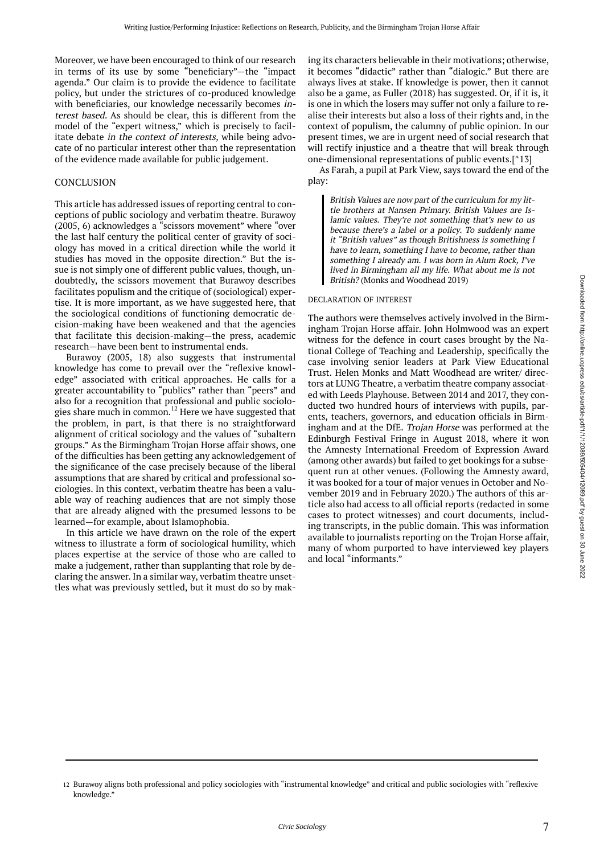Moreover, we have been encouraged to think of our research in terms of its use by some "beneficiary"—the "impact agenda." Our claim is to provide the evidence to facilitate policy, but under the strictures of co-produced knowledge with beneficiaries, our knowledge necessarily becomes interest based. As should be clear, this is different from the model of the "expert witness," which is precisely to facilitate debate in the context of interests, while being advocate of no particular interest other than the representation of the evidence made available for public judgement.

#### CONCLUSION

This article has addressed issues of reporting central to conceptions of public sociology and verbatim theatre. Burawoy (2005, 6) acknowledges a "scissors movement" where "over the last half century the political center of gravity of sociology has moved in a critical direction while the world it studies has moved in the opposite direction." But the issue is not simply one of different public values, though, undoubtedly, the scissors movement that Burawoy describes facilitates populism and the critique of (sociological) expertise. It is more important, as we have suggested here, that the sociological conditions of functioning democratic decision-making have been weakened and that the agencies that facilitate this decision-making—the press, academic research—have been bent to instrumental ends.

Burawoy (2005, 18) also suggests that instrumental knowledge has come to prevail over the "reflexive knowledge" associated with critical approaches. He calls for a greater accountability to "publics" rather than "peers" and also for a recognition that professional and public sociologies share much in common.<sup>12</sup> Here we have suggested that the problem, in part, is that there is no straightforward alignment of critical sociology and the values of "subaltern groups." As the Birmingham Trojan Horse affair shows, one of the difficulties has been getting any acknowledgement of the significance of the case precisely because of the liberal assumptions that are shared by critical and professional sociologies. In this context, verbatim theatre has been a valuable way of reaching audiences that are not simply those that are already aligned with the presumed lessons to be learned—for example, about Islamophobia.

In this article we have drawn on the role of the expert witness to illustrate a form of sociological humility, which places expertise at the service of those who are called to make a judgement, rather than supplanting that role by declaring the answer. In a similar way, verbatim theatre unsettles what was previously settled, but it must do so by making its characters believable in their motivations; otherwise, it becomes "didactic" rather than "dialogic." But there are always lives at stake. If knowledge is power, then it cannot also be a game, as Fuller (2018) has suggested. Or, if it is, it is one in which the losers may suffer not only a failure to realise their interests but also a loss of their rights and, in the context of populism, the calumny of public opinion. In our present times, we are in urgent need of social research that will rectify injustice and a theatre that will break through one-dimensional representations of public events.[^13]

As Farah, a pupil at Park View, says toward the end of the play:

British Values are now part of the curriculum for my little brothers at Nansen Primary. British Values are Islamic values. They're not something that's new to us because there's <sup>a</sup> label or <sup>a</sup> policy. To suddenly name it "British values" as though Britishness is something <sup>I</sup> have to learn, something I have to become, rather than something I already am. I was born in Alum Rock, I've lived in Birmingham all my life. What about me is not British? (Monks and Woodhead 2019)

#### DECLARATION OF INTEREST

The authors were themselves actively involved in the Birmingham Trojan Horse affair. John Holmwood was an expert witness for the defence in court cases brought by the National College of Teaching and Leadership, specifically the case involving senior leaders at Park View Educational Trust. Helen Monks and Matt Woodhead are writer/ directors at LUNG Theatre, a verbatim theatre company associated with Leeds Playhouse. Between 2014 and 2017, they conducted two hundred hours of interviews with pupils, parents, teachers, governors, and education officials in Birmingham and at the DfE. Trojan Horse was performed at the Edinburgh Festival Fringe in August 2018, where it won the Amnesty International Freedom of Expression Award (among other awards) but failed to get bookings for a subsequent run at other venues. (Following the Amnesty award, it was booked for a tour of major venues in October and November 2019 and in February 2020.) The authors of this article also had access to all official reports (redacted in some cases to protect witnesses) and court documents, including transcripts, in the public domain. This was information available to journalists reporting on the Trojan Horse affair, many of whom purported to have interviewed key players and local "informants."

<sup>12</sup> Burawoy aligns both professional and policy sociologies with "instrumental knowledge" and critical and public sociologies with "reflexive knowledge."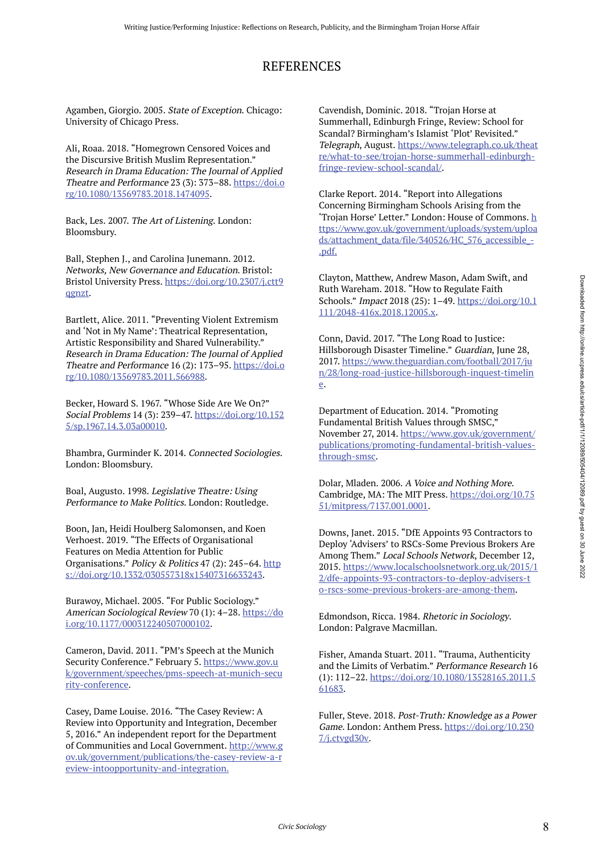## REFERENCES

Agamben, Giorgio. 2005. State of Exception. Chicago: University of Chicago Press.

Ali, Roaa. 2018. "Homegrown Censored Voices and the Discursive British Muslim Representation." Research in Drama Education: The Journal of Applied Theatre and Performance 23 (3): 373–88. https://doi.o rg/10.1080/13569783.2018.1474095.

Back, Les. 2007. The Art of Listening. London: Bloomsbury.

Ball, Stephen J., and Carolina Junemann. 2012. Networks, New Governance and Education. Bristol: Bristol University Press. https://doi.org/10.2307/j.ctt9 qgnzt.

Bartlett, Alice. 2011. "Preventing Violent Extremism and 'Not in My Name': Theatrical Representation, Artistic Responsibility and Shared Vulnerability." Research in Drama Education: The Journal of Applied Theatre and Performance 16 (2): 173–95. https://doi.o rg/10.1080/13569783.2011.566988.

Becker, Howard S. 1967. "Whose Side Are We On?" Social Problems 14 (3): 239–47. https://doi.org/10.152 5/sp.1967.14.3.03a00010.

Bhambra, Gurminder K. 2014. Connected Sociologies. London: Bloomsbury.

Boal, Augusto. 1998. Legislative Theatre: Using Performance to Make Politics. London: Routledge.

Boon, Jan, Heidi Houlberg Salomonsen, and Koen Verhoest. 2019. "The Effects of Organisational Features on Media Attention for Public Organisations." Policy & Politics 47 (2): 245–64. http s://doi.org/10.1332/030557318x15407316633243.

Burawoy, Michael. 2005. "For Public Sociology." American Sociological Review 70 (1): 4–28. https://do i.org/10.1177/000312240507000102.

Cameron, David. 2011. "PM's Speech at the Munich Security Conference." February 5. https://www.gov.u k/government/speeches/pms-speech-at-munich-secu rity-conference.

Casey, Dame Louise. 2016. "The Casey Review: A Review into Opportunity and Integration, December 5, 2016." An independent report for the Department of Communities and Local Government. http://www.g ov.uk/government/publications/the-casey-review-a-r eview-intoopportunity-and-integration.

Cavendish, Dominic. 2018. "Trojan Horse at Summerhall, Edinburgh Fringe, Review: School for Scandal? Birmingham's Islamist 'Plot' Revisited." Telegraph, August. https://www.telegraph.co.uk/theat re/what-to-see/trojan-horse-summerhall-edinburghfringe-review-school-scandal/.

Clarke Report. 2014. "Report into Allegations Concerning Birmingham Schools Arising from the 'Trojan Horse' Letter." London: House of Commons. h ttps://www.gov.uk/government/uploads/system/uploa ds/attachment\_data/file/340526/HC\_576\_accessible\_- .pdf.

Clayton, Matthew, Andrew Mason, Adam Swift, and Ruth Wareham. 2018. "How to Regulate Faith Schools." Impact 2018 (25): 1–49. https://doi.org/10.1 111/2048-416x.2018.12005.x.

Conn, David. 2017. "The Long Road to Justice: Hillsborough Disaster Timeline." Guardian, June 28, 2017. https://www.theguardian.com/football/2017/ju n/28/long-road-justice-hillsborough-inquest-timelin e.

Department of Education. 2014. "Promoting Fundamental British Values through SMSC," November 27, 2014. https://www.gov.uk/government/ publications/promoting-fundamental-british-valuesthrough-smsc.

Dolar, Mladen. 2006. A Voice and Nothing More. Cambridge, MA: The MIT Press. https://doi.org/10.75 51/mitpress/7137.001.0001.

Downs, Janet. 2015. "DfE Appoints 93 Contractors to Deploy 'Advisers' to RSCs-Some Previous Brokers Are Among Them." Local Schools Network, December 12, 2015. https://www.localschoolsnetwork.org.uk/2015/1 2/dfe-appoints-93-contractors-to-deploy-advisers-t o-rscs-some-previous-brokers-are-among-them.

Edmondson, Ricca. 1984. Rhetoric in Sociology. London: Palgrave Macmillan.

Fisher, Amanda Stuart. 2011. "Trauma, Authenticity and the Limits of Verbatim." Performance Research 16 (1): 112–22. https://doi.org/10.1080/13528165.2011.5 61683.

Fuller, Steve. 2018. Post-Truth: Knowledge as a Power Game. London: Anthem Press. https://doi.org/10.230 7/j.ctvgd30v.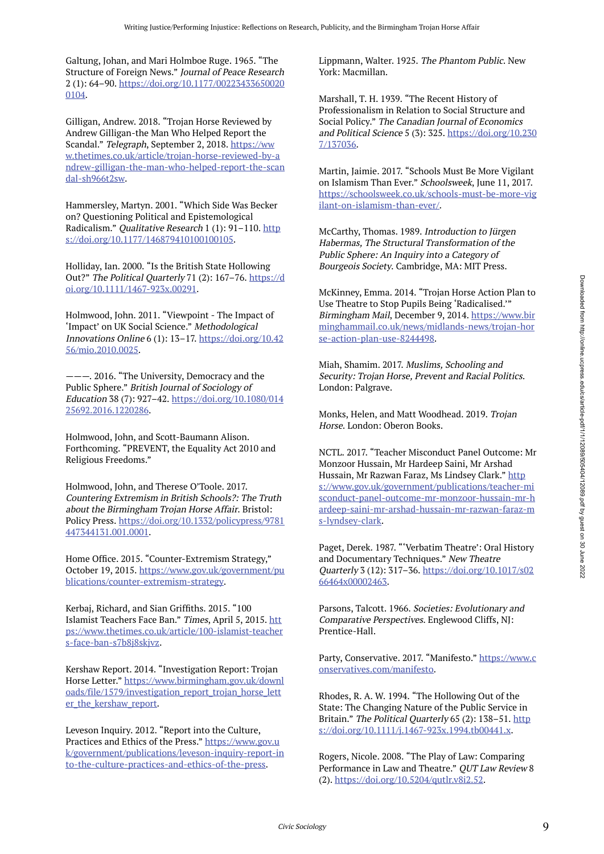Galtung, Johan, and Mari Holmboe Ruge. 1965. "The Structure of Foreign News." Journal of Peace Research 2 (1): 64–90. https://doi.org/10.1177/00223433650020 0104.

Gilligan, Andrew. 2018. "Trojan Horse Reviewed by Andrew Gilligan-the Man Who Helped Report the Scandal." Telegraph, September 2, 2018. https://ww w.thetimes.co.uk/article/trojan-horse-reviewed-by-a ndrew-gilligan-the-man-who-helped-report-the-scan dal-sh966t2sw.

Hammersley, Martyn. 2001. "Which Side Was Becker on? Questioning Political and Epistemological Radicalism." Qualitative Research 1 (1): 91-110. http s://doi.org/10.1177/146879410100100105.

Holliday, Ian. 2000. "Is the British State Hollowing Out?" The Political Quarterly 71 (2): 167-76. https://d oi.org/10.1111/1467-923x.00291.

Holmwood, John. 2011. "Viewpoint - The Impact of 'Impact' on UK Social Science." Methodological Innovations Online 6 (1): 13–17. https://doi.org/10.42 56/mio.2010.0025.

———. 2016. "The University, Democracy and the Public Sphere." British Journal of Sociology of Education 38 (7): 927–42. https://doi.org/10.1080/014 25692.2016.1220286.

Holmwood, John, and Scott-Baumann Alison. Forthcoming. "PREVENT, the Equality Act 2010 and Religious Freedoms."

Holmwood, John, and Therese O'Toole. 2017. Countering Extremism in British Schools?: The Truth about the Birmingham Trojan Horse Affair. Bristol: Policy Press. https://doi.org/10.1332/policypress/9781 447344131.001.0001.

Home Office. 2015. "Counter-Extremism Strategy," October 19, 2015. https://www.gov.uk/government/pu blications/counter-extremism-strategy.

Kerbaj, Richard, and Sian Griffiths. 2015. "100 Islamist Teachers Face Ban." Times, April 5, 2015. htt ps://www.thetimes.co.uk/article/100-islamist-teacher s-face-ban-s7b8j8skjvz.

Kershaw Report. 2014. "Investigation Report: Trojan Horse Letter." https://www.birmingham.gov.uk/downl oads/file/1579/investigation\_report\_trojan\_horse\_lett er\_the\_kershaw\_report.

Leveson Inquiry. 2012. "Report into the Culture, Practices and Ethics of the Press." https://www.gov.u k/government/publications/leveson-inquiry-report-in to-the-culture-practices-and-ethics-of-the-press.

Lippmann, Walter. 1925. The Phantom Public. New York: Macmillan.

Marshall, T. H. 1939. "The Recent History of Professionalism in Relation to Social Structure and Social Policy." The Canadian Journal of Economics and Political Science 5 (3): 325. https://doi.org/10.230 7/137036.

Martin, Jaimie. 2017. "Schools Must Be More Vigilant on Islamism Than Ever." Schoolsweek, June 11, 2017. https://schoolsweek.co.uk/schools-must-be-more-vig ilant-on-islamism-than-ever/.

McCarthy, Thomas. 1989. Introduction to Jürgen Habermas, The Structural Transformation of the Public Sphere: An Inquiry into a Category of Bourgeois Society. Cambridge, MA: MIT Press.

McKinney, Emma. 2014. "Trojan Horse Action Plan to Use Theatre to Stop Pupils Being 'Radicalised.'" Birmingham Mail, December 9, 2014. https://www.bir minghammail.co.uk/news/midlands-news/trojan-hor se-action-plan-use-8244498.

Miah, Shamim. 2017. Muslims, Schooling and Security: Trojan Horse, Prevent and Racial Politics. London: Palgrave.

Monks, Helen, and Matt Woodhead. 2019. Trojan Horse. London: Oberon Books.

NCTL. 2017. "Teacher Misconduct Panel Outcome: Mr Monzoor Hussain, Mr Hardeep Saini, Mr Arshad Hussain, Mr Razwan Faraz, Ms Lindsey Clark." http s://www.gov.uk/government/publications/teacher-mi sconduct-panel-outcome-mr-monzoor-hussain-mr-h ardeep-saini-mr-arshad-hussain-mr-razwan-faraz-m s-lyndsey-clark.

Paget, Derek. 1987. "'Verbatim Theatre': Oral History and Documentary Techniques." New Theatre Quarterly 3 (12): 317–36. https://doi.org/10.1017/s02 66464x00002463.

Parsons, Talcott. 1966. Societies: Evolutionary and Comparative Perspectives. Englewood Cliffs, NJ: Prentice-Hall.

Party, Conservative. 2017. "Manifesto." https://www.c onservatives.com/manifesto.

Rhodes, R. A. W. 1994. "The Hollowing Out of the State: The Changing Nature of the Public Service in Britain." The Political Quarterly 65 (2): 138-51. http s://doi.org/10.1111/j.1467-923x.1994.tb00441.x.

Rogers, Nicole. 2008. "The Play of Law: Comparing Performance in Law and Theatre." QUT Law Review 8 (2). https://doi.org/10.5204/qutlr.v8i2.52.